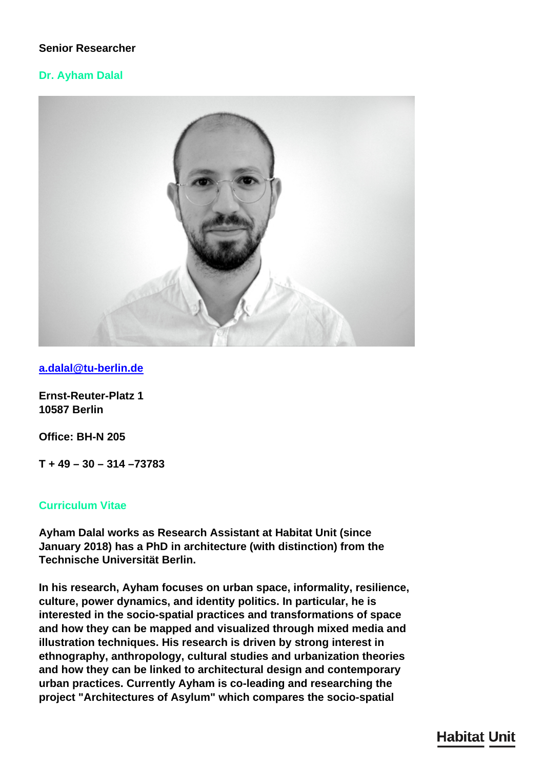# **Senior Researcher**

# **Dr. Ayham Dalal**



**[a.dalal@tu-berlin.de](mailto:a.dalal@tu-berlin.de)**

**Ernst-Reuter-Platz 1 10587 Berlin**

**Office: BH-N 205**

**T + 49 – 30 – 314 –73783**

## **Curriculum Vitae**

**Ayham Dalal works as Research Assistant at Habitat Unit (since January 2018) has a PhD in architecture (with distinction) from the Technische Universität Berlin.**

**In his research, Ayham focuses on urban space, informality, resilience, culture, power dynamics, and identity politics. In particular, he is interested in the socio-spatial practices and transformations of space and how they can be mapped and visualized through mixed media and illustration techniques. His research is driven by strong interest in ethnography, anthropology, cultural studies and urbanization theories and how they can be linked to architectural design and contemporary urban practices. Currently Ayham is co-leading and researching the project "Architectures of Asylum" which compares the socio-spatial**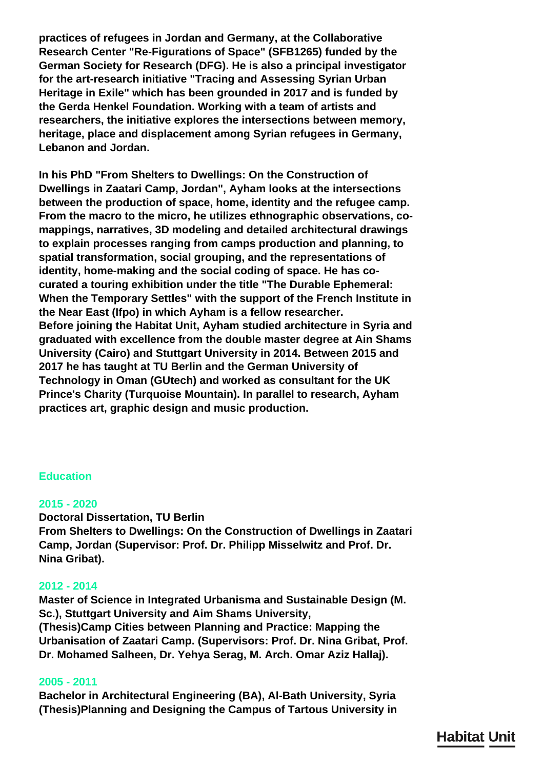**practices of refugees in Jordan and Germany, at the Collaborative Research Center "Re-Figurations of Space" (SFB1265) funded by the German Society for Research (DFG). He is also a principal investigator for the art-research initiative "Tracing and Assessing Syrian Urban Heritage in Exile" which has been grounded in 2017 and is funded by the Gerda Henkel Foundation. Working with a team of artists and researchers, the initiative explores the intersections between memory, heritage, place and displacement among Syrian refugees in Germany, Lebanon and Jordan.**

**In his PhD "From Shelters to Dwellings: On the Construction of Dwellings in Zaatari Camp, Jordan", Ayham looks at the intersections between the production of space, home, identity and the refugee camp. From the macro to the micro, he utilizes ethnographic observations, comappings, narratives, 3D modeling and detailed architectural drawings to explain processes ranging from camps production and planning, to spatial transformation, social grouping, and the representations of identity, home-making and the social coding of space. He has cocurated a touring exhibition under the title "The Durable Ephemeral: When the Temporary Settles" with the support of the French Institute in the Near East (Ifpo) in which Ayham is a fellow researcher. Before joining the Habitat Unit, Ayham studied architecture in Syria and graduated with excellence from the double master degree at Ain Shams University (Cairo) and Stuttgart University in 2014. Between 2015 and 2017 he has taught at TU Berlin and the German University of Technology in Oman (GUtech) and worked as consultant for the UK Prince's Charity (Turquoise Mountain). In parallel to research, Ayham practices art, graphic design and music production.**

# **Education**

#### **2015 - 2020**

**Doctoral Dissertation, TU Berlin From Shelters to Dwellings: On the Construction of Dwellings in Zaatari Camp, Jordan (Supervisor: Prof. Dr. Philipp Misselwitz and Prof. Dr. Nina Gribat).**

## **2012 - 2014**

**Master of Science in Integrated Urbanisma and Sustainable Design (M. Sc.), Stuttgart University and Aim Shams University, (Thesis)Camp Cities between Planning and Practice: Mapping the Urbanisation of Zaatari Camp. (Supervisors: Prof. Dr. Nina Gribat, Prof. Dr. Mohamed Salheen, Dr. Yehya Serag, M. Arch. Omar Aziz Hallaj).**

#### **2005 - 2011**

**Bachelor in Architectural Engineering (BA), Al-Bath University, Syria (Thesis)Planning and Designing the Campus of Tartous University in**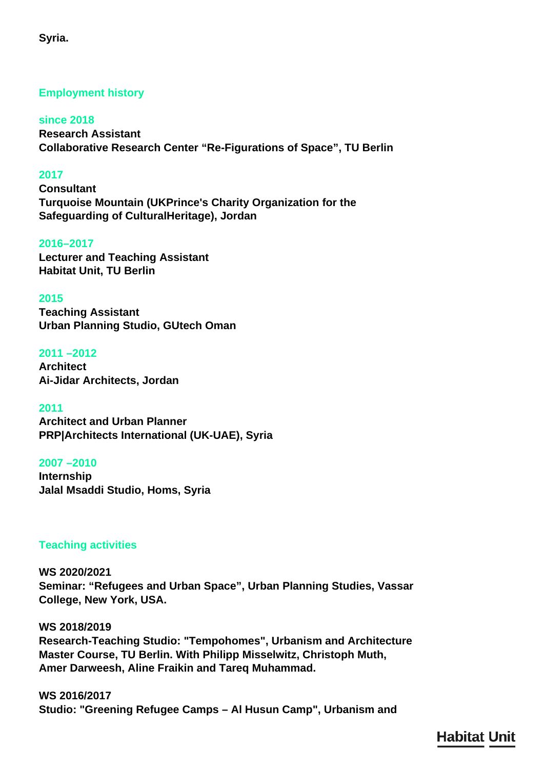# **Employment history**

**since 2018 Research Assistant Collaborative Research Center "Re-Figurations of Space", TU Berlin**

# **2017**

**Consultant Turquoise Mountain (UKPrince's Charity Organization for the Safeguarding of CulturalHeritage), Jordan**

## **2016–2017**

**Lecturer and Teaching Assistant Habitat Unit, TU Berlin**

## **2015**

**Teaching Assistant Urban Planning Studio, GUtech Oman**

## **2011 –2012**

**Architect Ai-Jidar Architects, Jordan**

**2011**

**Architect and Urban Planner PRP|Architects International (UK-UAE), Syria**

## **2007 –2010**

**Internship Jalal Msaddi Studio, Homs, Syria**

# **Teaching activities**

**WS 2020/2021 Seminar: "Refugees and Urban Space", Urban Planning Studies, Vassar College, New York, USA.**

**WS 2018/2019 Research-Teaching Studio: "Tempohomes", Urbanism and Architecture Master Course, TU Berlin. With Philipp Misselwitz, Christoph Muth, Amer Darweesh, Aline Fraikin and Tareq Muhammad.**

**WS 2016/2017 Studio: "Greening Refugee Camps – Al Husun Camp", Urbanism and**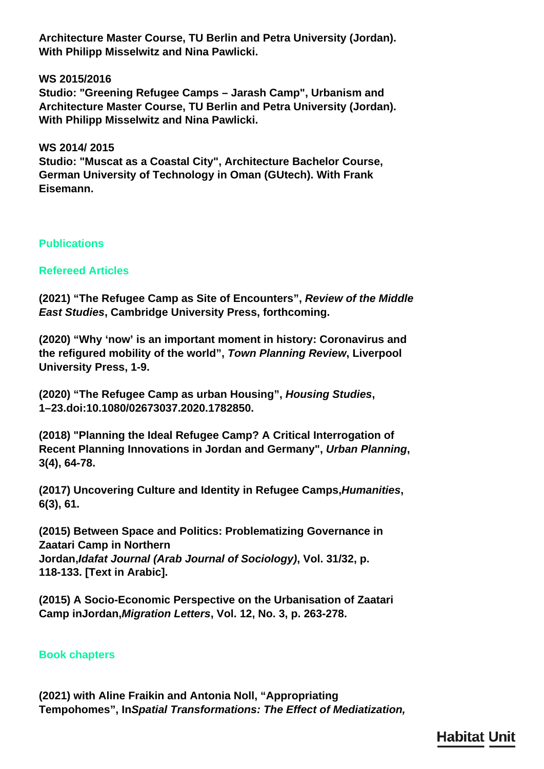**Architecture Master Course, TU Berlin and Petra University (Jordan). With Philipp Misselwitz and Nina Pawlicki.**

**WS 2015/2016**

**Studio: "Greening Refugee Camps – Jarash Camp", Urbanism and Architecture Master Course, TU Berlin and Petra University (Jordan). With Philipp Misselwitz and Nina Pawlicki.**

**WS 2014/ 2015 Studio: "Muscat as a Coastal City", Architecture Bachelor Course, German University of Technology in Oman (GUtech). With Frank Eisemann.**

**Publications**

**Refereed Articles**

**(2021) "The Refugee Camp as Site of Encounters",** *Review of the Middle East Studies***, Cambridge University Press, forthcoming.**

**(2020) "Why 'now' is an important moment in history: Coronavirus and the refigured mobility of the world",** *Town Planning Review***, Liverpool University Press, 1-9.**

**(2020) "The Refugee Camp as urban Housing",** *Housing Studies***, 1–23.doi:10.1080/02673037.2020.1782850.**

**(2018) "Planning the Ideal Refugee Camp? A Critical Interrogation of Recent Planning Innovations in Jordan and Germany",** *Urban Planning***, 3(4), 64-78.**

**(2017) Uncovering Culture and Identity in Refugee Camps,***Humanities***, 6(3), 61.**

**(2015) Between Space and Politics: Problematizing Governance in Zaatari Camp in Northern Jordan,***Idafat Journal (Arab Journal of Sociology)***, Vol. 31/32, p. 118-133. [Text in Arabic].**

**(2015) A Socio-Economic Perspective on the Urbanisation of Zaatari Camp inJordan,***Migration Letters***, Vol. 12, No. 3, p. 263-278.**

**Book chapters**

**(2021) with Aline Fraikin and Antonia Noll, "Appropriating Tempohomes", In***Spatial Transformations: The Effect of Mediatization,*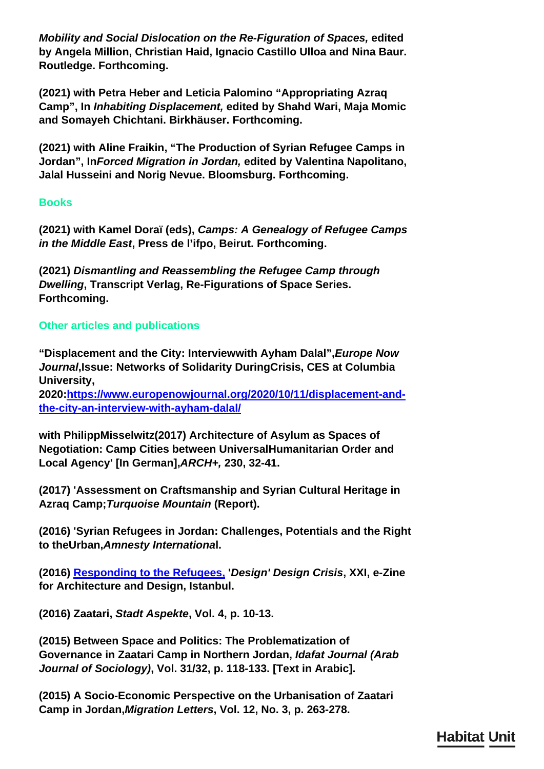*Mobility and Social Dislocation on the Re-Figuration of Spaces,* **edited by Angela Million, Christian Haid, Ignacio Castillo Ulloa and Nina Baur. Routledge. Forthcoming.**

**(2021) with Petra Heber and Leticia Palomino "Appropriating Azraq Camp", In** *Inhabiting Displacement,* **edited by Shahd Wari, Maja Momic and Somayeh Chichtani. Birkhäuser. Forthcoming.**

**(2021) with Aline Fraikin, "The Production of Syrian Refugee Camps in Jordan", In***Forced Migration in Jordan,* **edited by Valentina Napolitano, Jalal Husseini and Norig Nevue. Bloomsburg. Forthcoming.**

# **Books**

**(2021) with Kamel Doraï (eds),** *Camps: A Genealogy of Refugee Camps in the Middle East***, Press de l'ifpo, Beirut. Forthcoming.**

**(2021)** *Dismantling and Reassembling the Refugee Camp through Dwelling***, Transcript Verlag, Re-Figurations of Space Series. Forthcoming.**

# **Other articles and publications**

**"Displacement and the City: Interviewwith Ayham Dalal",***Europe Now Journal***,Issue: Networks of Solidarity DuringCrisis, CES at Columbia University,**

**2020[:https://www.europenowjournal.org/2020/10/11/displacement-and](https://www.europenowjournal.org/2020/10/11/displacement-and-the-city-an-interview-with-ayham-dalal/)[the-city-an-interview-with-ayham-dalal/](https://www.europenowjournal.org/2020/10/11/displacement-and-the-city-an-interview-with-ayham-dalal/)**

**with PhilippMisselwitz(2017) Architecture of Asylum as Spaces of Negotiation: Camp Cities between UniversalHumanitarian Order and Local Agency' [In German],***ARCH+,* **230, 32-41.**

**(2017) 'Assessment on Craftsmanship and Syrian Cultural Heritage in Azraq Camp;***Turquoise Mountain* **(Report).**

**(2016) 'Syrian Refugees in Jordan: Challenges, Potentials and the Right to theUrban,***Amnesty Internationa***l.**

**(2016) [Responding to the Refugees,](http://xxi.com.tr/articles/responding-to-refugees-design-crisis) '***Design' Design Crisis***, XXI, e-Zine for Architecture and Design, Istanbul.**

**(2016) Zaatari,** *Stadt Aspekte***, Vol. 4, p. 10-13.**

**(2015) Between Space and Politics: The Problematization of Governance in Zaatari Camp in Northern Jordan,** *Idafat Journal (Arab Journal of Sociology)***, Vol. 31/32, p. 118-133. [Text in Arabic].**

**(2015) A Socio-Economic Perspective on the Urbanisation of Zaatari Camp in Jordan,***Migration Letters***, Vol. 12, No. 3, p. 263-278.**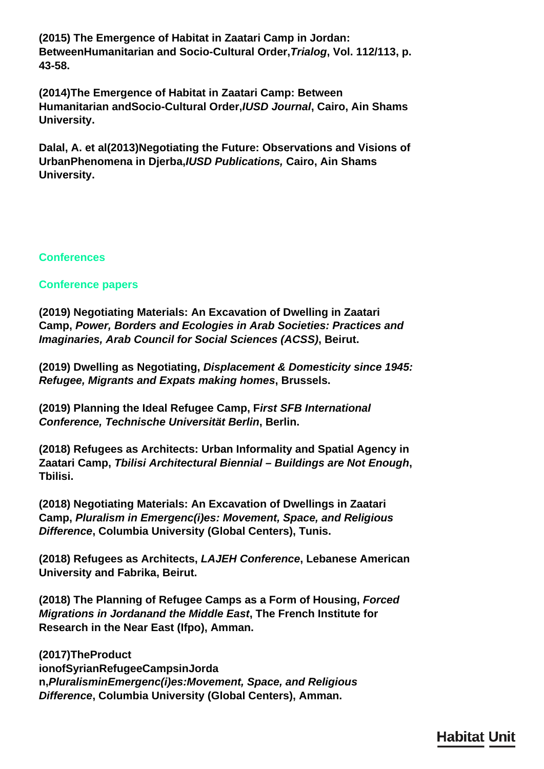**(2015) The Emergence of Habitat in Zaatari Camp in Jordan: BetweenHumanitarian and Socio-Cultural Order,***Trialog***, Vol. 112/113, p. 43-58.**

**(2014)The Emergence of Habitat in Zaatari Camp: Between Humanitarian andSocio-Cultural Order,***IUSD Journal***, Cairo, Ain Shams University.**

**Dalal, A. et al(2013)Negotiating the Future: Observations and Visions of UrbanPhenomena in Djerba,***IUSD Publications,* **Cairo, Ain Shams University.**

# **Conferences**

# **Conference papers**

**(2019) Negotiating Materials: An Excavation of Dwelling in Zaatari Camp,** *Power, Borders and Ecologies in Arab Societies: Practices and Imaginaries, Arab Council for Social Sciences (ACSS)***, Beirut.**

**(2019) Dwelling as Negotiating,** *Displacement & Domesticity since 1945: Refugee, Migrants and Expats making homes***, Brussels.**

**(2019) Planning the Ideal Refugee Camp, F***irst SFB International Conference, Technische Universität Berlin***, Berlin.**

**(2018) Refugees as Architects: Urban Informality and Spatial Agency in Zaatari Camp,** *Tbilisi Architectural Biennial – Buildings are Not Enough***, Tbilisi.**

**(2018) Negotiating Materials: An Excavation of Dwellings in Zaatari Camp,** *Pluralism in Emergenc(i)es: Movement, Space, and Religious Difference***, Columbia University (Global Centers), Tunis.**

**(2018) Refugees as Architects,** *LAJEH Conference***, Lebanese American University and Fabrika, Beirut.**

**(2018) The Planning of Refugee Camps as a Form of Housing,** *Forced Migrations in Jordanand the Middle East***, The French Institute for Research in the Near East (Ifpo), Amman.**

**(2017)TheProduct ionofSyrianRefugeeCampsinJorda n,***PluralisminEmergenc(i)es:Movement, Space, and Religious Difference***, Columbia University (Global Centers), Amman.**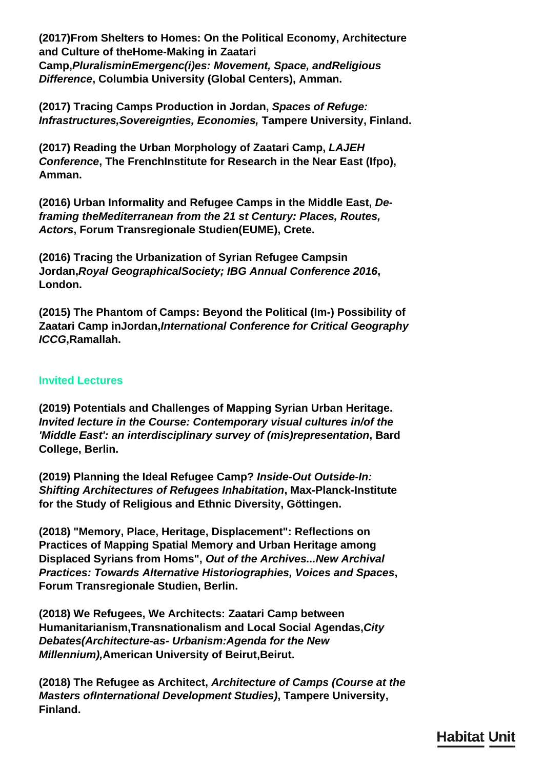**(2017)From Shelters to Homes: On the Political Economy, Architecture and Culture of theHome-Making in Zaatari Camp,***PluralisminEmergenc(i)es: Movement, Space, andReligious Difference***, Columbia University (Global Centers), Amman.**

**(2017) Tracing Camps Production in Jordan,** *Spaces of Refuge: Infrastructures,Sovereignties, Economies,* **Tampere University, Finland.**

**(2017) Reading the Urban Morphology of Zaatari Camp,** *LAJEH Conference***, The FrenchInstitute for Research in the Near East (Ifpo), Amman.**

**(2016) Urban Informality and Refugee Camps in the Middle East,** *Deframing theMediterranean from the 21 st Century: Places, Routes, Actors***, Forum Transregionale Studien(EUME), Crete.**

**(2016) Tracing the Urbanization of Syrian Refugee Campsin Jordan,***Royal GeographicalSociety; IBG Annual Conference 2016***, London.**

**(2015) The Phantom of Camps: Beyond the Political (Im-) Possibility of Zaatari Camp inJordan,***International Conference for Critical Geography ICCG***,Ramallah.**

# **Invited Lectures**

**(2019) Potentials and Challenges of Mapping Syrian Urban Heritage.** *Invited lecture in the Course: Contemporary visual cultures in/of the 'Middle East': an interdisciplinary survey of (mis)representation***, Bard College, Berlin.**

**(2019) Planning the Ideal Refugee Camp?** *Inside-Out Outside-In: Shifting Architectures of Refugees Inhabitation***, Max-Planck-Institute for the Study of Religious and Ethnic Diversity, Göttingen.**

**(2018) "Memory, Place, Heritage, Displacement": Reflections on Practices of Mapping Spatial Memory and Urban Heritage among Displaced Syrians from Homs",** *Out of the Archives...New Archival Practices: Towards Alternative Historiographies, Voices and Spaces***, Forum Transregionale Studien, Berlin.**

**(2018) We Refugees, We Architects: Zaatari Camp between Humanitarianism,Transnationalism and Local Social Agendas,***City Debates(Architecture-as- Urbanism:Agenda for the New Millennium), American University of Beirut, Beirut.* 

**(2018) The Refugee as Architect,** *Architecture of Camps (Course at the Masters ofInternational Development Studies)***, Tampere University, Finland.**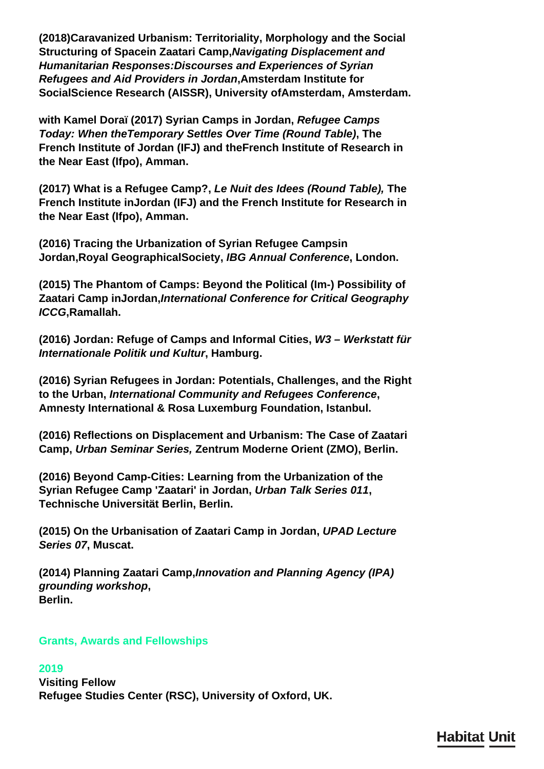**(2018)Caravanized Urbanism: Territoriality, Morphology and the Social Structuring of Spacein Zaatari Camp,***Navigating Displacement and Humanitarian Responses:Discourses and Experiences of Syrian Refugees and Aid Providers in Jordan***,Amsterdam Institute for SocialScience Research (AISSR), University ofAmsterdam, Amsterdam.**

**with Kamel Doraï (2017) Syrian Camps in Jordan,** *Refugee Camps Today: When theTemporary Settles Over Time (Round Table)***, The French Institute of Jordan (IFJ) and theFrench Institute of Research in the Near East (Ifpo), Amman.**

**(2017) What is a Refugee Camp?,** *Le Nuit des Idees (Round Table),* **The French Institute inJordan (IFJ) and the French Institute for Research in the Near East (Ifpo), Amman.**

**(2016) Tracing the Urbanization of Syrian Refugee Campsin Jordan,Royal GeographicalSociety,** *IBG Annual Conference***, London.**

**(2015) The Phantom of Camps: Beyond the Political (Im-) Possibility of Zaatari Camp inJordan,***International Conference for Critical Geography ICCG***,Ramallah.**

**(2016) Jordan: Refuge of Camps and Informal Cities,** *W3 – Werkstatt für Internationale Politik und Kultur***, Hamburg.**

**(2016) Syrian Refugees in Jordan: Potentials, Challenges, and the Right to the Urban,** *International Community and Refugees Conference***, Amnesty International & Rosa Luxemburg Foundation, Istanbul.**

**(2016) Reflections on Displacement and Urbanism: The Case of Zaatari Camp,** *Urban Seminar Series,* **Zentrum Moderne Orient (ZMO), Berlin.**

**(2016) Beyond Camp-Cities: Learning from the Urbanization of the Syrian Refugee Camp 'Zaatari' in Jordan,** *Urban Talk Series 011***, Technische Universität Berlin, Berlin.**

**(2015) On the Urbanisation of Zaatari Camp in Jordan,** *UPAD Lecture Series 07***, Muscat.**

**(2014) Planning Zaatari Camp,***Innovation and Planning Agency (IPA) grounding workshop***, Berlin.**

# **Grants, Awards and Fellowships**

## **2019**

**Visiting Fellow Refugee Studies Center (RSC), University of Oxford, UK.**